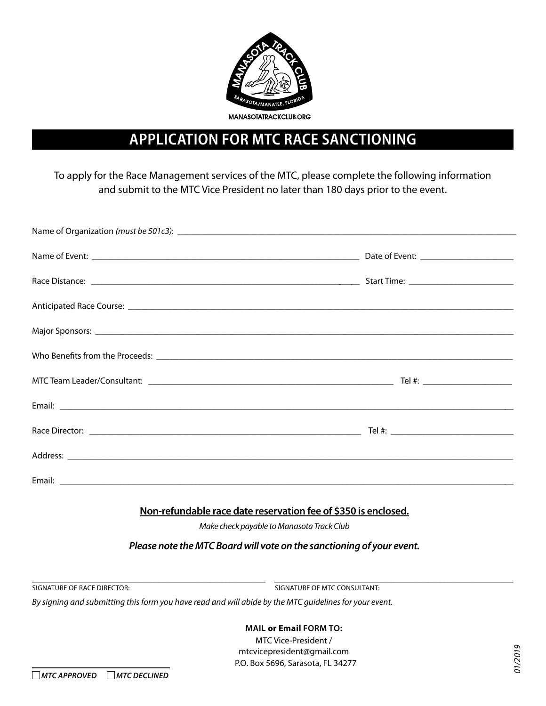

## **Application FOR MTC Race Sanctioning**

To apply for the Race Management services of the MTC, please complete the following information and submit to the MTC Vice President no later than 180 days prior to the event.

|                                                                | Address: <u>New York: Address: New York: Address: New York: Address: New York: New York: New York: New York: New York: New York: New York: New York: New York: New York: New York: New York: New York: New York: New York: New Y</u> |
|----------------------------------------------------------------|--------------------------------------------------------------------------------------------------------------------------------------------------------------------------------------------------------------------------------------|
|                                                                |                                                                                                                                                                                                                                      |
| Non-refundable race date reservation fee of \$350 is enclosed. |                                                                                                                                                                                                                                      |

*Make check payable to Manasota Track Club*

*Please note the MTC Board will vote on the sanctioning of your event.*

\_\_\_\_\_\_\_\_\_\_\_\_\_\_\_\_\_\_\_\_\_\_\_\_\_\_\_\_\_\_\_\_\_\_\_\_\_\_\_\_\_\_\_\_\_\_\_\_\_\_\_\_\_\_\_\_\_\_\_\_\_\_\_\_\_\_\_\_\_\_\_\_\_\_\_\_\_\_\_\_\_\_\_\_\_\_\_\_\_\_\_\_\_\_\_\_\_\_\_\_\_\_\_\_\_\_\_\_ SIGNATURE OF RACE DIRECTOR: SIGNATURE OF MTC CONSULTANT:

*By signing and submitting this form you have read and will abide by the MTC guidelines for your event.*

**Mail or Email forM to:** 

MTC Vice-President / mtcvicepresident@gmail.com P.O. Box 5696, Sarasota, fL 34277